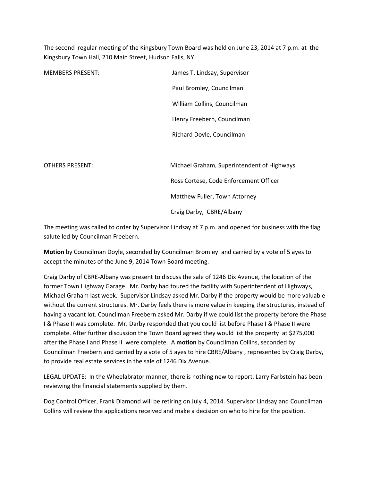The second regular meeting of the Kingsbury Town Board was held on June 23, 2014 at 7 p.m. at the Kingsbury Town Hall, 210 Main Street, Hudson Falls, NY.

| <b>MEMBERS PRESENT:</b> | James T. Lindsay, Supervisor               |
|-------------------------|--------------------------------------------|
|                         | Paul Bromley, Councilman                   |
|                         | William Collins, Councilman                |
|                         | Henry Freebern, Councilman                 |
|                         | Richard Doyle, Councilman                  |
|                         |                                            |
| <b>OTHERS PRESENT:</b>  | Michael Graham, Superintendent of Highways |
|                         | Ross Cortese, Code Enforcement Officer     |
|                         | Matthew Fuller, Town Attorney              |
|                         | Craig Darby, CBRE/Albany                   |

The meeting was called to order by Supervisor Lindsay at 7 p.m. and opened for business with the flag salute led by Councilman Freebern.

Motion by Councilman Doyle, seconded by Councilman Bromley and carried by a vote of 5 ayes to accept the minutes of the June 9, 2014 Town Board meeting.

Craig Darby of CBRE-Albany was present to discuss the sale of 1246 Dix Avenue, the location of the former Town Highway Garage. Mr. Darby had toured the facility with Superintendent of Highways, Michael Graham last week. Supervisor Lindsay asked Mr. Darby if the property would be more valuable without the current structures. Mr. Darby feels there is more value in keeping the structures, instead of having a vacant lot. Councilman Freebern asked Mr. Darby if we could list the property before the Phase I & Phase II was complete. Mr. Darby responded that you could list before Phase I & Phase II were complete. After further discussion the Town Board agreed they would list the property at \$275,000 after the Phase I and Phase II were complete. A motion by Councilman Collins, seconded by Councilman Freebern and carried by a vote of 5 ayes to hire CBRE/Albany , represented by Craig Darby, to provide real estate services in the sale of 1246 Dix Avenue.

LEGAL UPDATE: In the Wheelabrator manner, there is nothing new to report. Larry Farbstein has been reviewing the financial statements supplied by them.

Dog Control Officer, Frank Diamond will be retiring on July 4, 2014. Supervisor Lindsay and Councilman Collins will review the applications received and make a decision on who to hire for the position.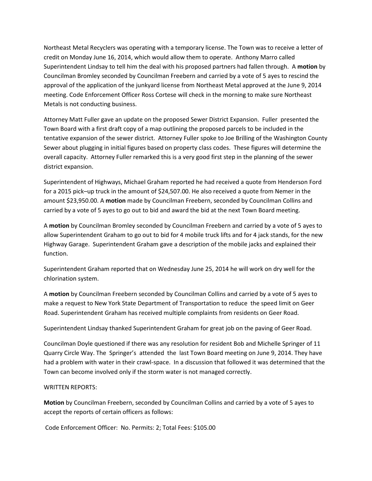Northeast Metal Recyclers was operating with a temporary license. The Town was to receive a letter of credit on Monday June 16, 2014, which would allow them to operate. Anthony Marro called Superintendent Lindsay to tell him the deal with his proposed partners had fallen through. A motion by Councilman Bromley seconded by Councilman Freebern and carried by a vote of 5 ayes to rescind the approval of the application of the junkyard license from Northeast Metal approved at the June 9, 2014 meeting. Code Enforcement Officer Ross Cortese will check in the morning to make sure Northeast Metals is not conducting business.

Attorney Matt Fuller gave an update on the proposed Sewer District Expansion. Fuller presented the Town Board with a first draft copy of a map outlining the proposed parcels to be included in the tentative expansion of the sewer district. Attorney Fuller spoke to Joe Brilling of the Washington County Sewer about plugging in initial figures based on property class codes. These figures will determine the overall capacity. Attorney Fuller remarked this is a very good first step in the planning of the sewer district expansion.

Superintendent of Highways, Michael Graham reported he had received a quote from Henderson Ford for a 2015 pick–up truck in the amount of \$24,507.00. He also received a quote from Nemer in the amount \$23,950.00. A motion made by Councilman Freebern, seconded by Councilman Collins and carried by a vote of 5 ayes to go out to bid and award the bid at the next Town Board meeting.

A motion by Councilman Bromley seconded by Councilman Freebern and carried by a vote of 5 ayes to allow Superintendent Graham to go out to bid for 4 mobile truck lifts and for 4 jack stands, for the new Highway Garage. Superintendent Graham gave a description of the mobile jacks and explained their function.

Superintendent Graham reported that on Wednesday June 25, 2014 he will work on dry well for the chlorination system.

A motion by Councilman Freebern seconded by Councilman Collins and carried by a vote of 5 ayes to make a request to New York State Department of Transportation to reduce the speed limit on Geer Road. Superintendent Graham has received multiple complaints from residents on Geer Road.

Superintendent Lindsay thanked Superintendent Graham for great job on the paving of Geer Road.

Councilman Doyle questioned if there was any resolution for resident Bob and Michelle Springer of 11 Quarry Circle Way. The Springer's attended the last Town Board meeting on June 9, 2014. They have had a problem with water in their crawl-space. In a discussion that followed it was determined that the Town can become involved only if the storm water is not managed correctly.

## WRITTEN REPORTS:

Motion by Councilman Freebern, seconded by Councilman Collins and carried by a vote of 5 ayes to accept the reports of certain officers as follows:

Code Enforcement Officer: No. Permits: 2; Total Fees: \$105.00